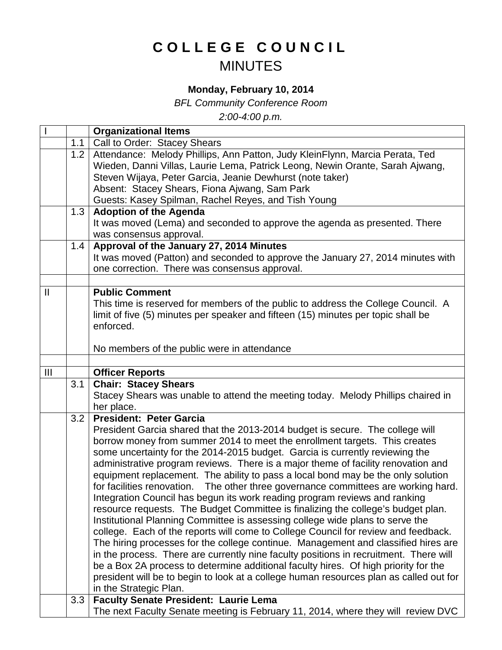## **COLLEGE COUNCIL** MINUTES

## **Monday, February 10, 2014**

*BFL Community Conference Room*

*2:00-4:00 p.m.*

| 1.1<br>Call to Order: Stacey Shears                                                                                                                                                                                                                                                                                                                                                                                                                                                                                                                                                                                                                                                                                                                                                                                                                                                                                                                                                                                                                                                                                                                                                                                                                          |  |
|--------------------------------------------------------------------------------------------------------------------------------------------------------------------------------------------------------------------------------------------------------------------------------------------------------------------------------------------------------------------------------------------------------------------------------------------------------------------------------------------------------------------------------------------------------------------------------------------------------------------------------------------------------------------------------------------------------------------------------------------------------------------------------------------------------------------------------------------------------------------------------------------------------------------------------------------------------------------------------------------------------------------------------------------------------------------------------------------------------------------------------------------------------------------------------------------------------------------------------------------------------------|--|
|                                                                                                                                                                                                                                                                                                                                                                                                                                                                                                                                                                                                                                                                                                                                                                                                                                                                                                                                                                                                                                                                                                                                                                                                                                                              |  |
| Attendance: Melody Phillips, Ann Patton, Judy KleinFlynn, Marcia Perata, Ted<br>1.2<br>Wieden, Danni Villas, Laurie Lema, Patrick Leong, Newin Orante, Sarah Ajwang,<br>Steven Wijaya, Peter Garcia, Jeanie Dewhurst (note taker)<br>Absent: Stacey Shears, Fiona Ajwang, Sam Park                                                                                                                                                                                                                                                                                                                                                                                                                                                                                                                                                                                                                                                                                                                                                                                                                                                                                                                                                                           |  |
| Guests: Kasey Spilman, Rachel Reyes, and Tish Young                                                                                                                                                                                                                                                                                                                                                                                                                                                                                                                                                                                                                                                                                                                                                                                                                                                                                                                                                                                                                                                                                                                                                                                                          |  |
| <b>Adoption of the Agenda</b><br>1.3                                                                                                                                                                                                                                                                                                                                                                                                                                                                                                                                                                                                                                                                                                                                                                                                                                                                                                                                                                                                                                                                                                                                                                                                                         |  |
| It was moved (Lema) and seconded to approve the agenda as presented. There<br>was consensus approval.                                                                                                                                                                                                                                                                                                                                                                                                                                                                                                                                                                                                                                                                                                                                                                                                                                                                                                                                                                                                                                                                                                                                                        |  |
| Approval of the January 27, 2014 Minutes<br>1.4<br>It was moved (Patton) and seconded to approve the January 27, 2014 minutes with<br>one correction. There was consensus approval.                                                                                                                                                                                                                                                                                                                                                                                                                                                                                                                                                                                                                                                                                                                                                                                                                                                                                                                                                                                                                                                                          |  |
|                                                                                                                                                                                                                                                                                                                                                                                                                                                                                                                                                                                                                                                                                                                                                                                                                                                                                                                                                                                                                                                                                                                                                                                                                                                              |  |
| $\mathbf{I}$<br><b>Public Comment</b><br>This time is reserved for members of the public to address the College Council. A<br>limit of five (5) minutes per speaker and fifteen (15) minutes per topic shall be<br>enforced.                                                                                                                                                                                                                                                                                                                                                                                                                                                                                                                                                                                                                                                                                                                                                                                                                                                                                                                                                                                                                                 |  |
| No members of the public were in attendance                                                                                                                                                                                                                                                                                                                                                                                                                                                                                                                                                                                                                                                                                                                                                                                                                                                                                                                                                                                                                                                                                                                                                                                                                  |  |
|                                                                                                                                                                                                                                                                                                                                                                                                                                                                                                                                                                                                                                                                                                                                                                                                                                                                                                                                                                                                                                                                                                                                                                                                                                                              |  |
| III<br><b>Officer Reports</b>                                                                                                                                                                                                                                                                                                                                                                                                                                                                                                                                                                                                                                                                                                                                                                                                                                                                                                                                                                                                                                                                                                                                                                                                                                |  |
| <b>Chair: Stacey Shears</b><br>3.1<br>Stacey Shears was unable to attend the meeting today. Melody Phillips chaired in<br>her place.                                                                                                                                                                                                                                                                                                                                                                                                                                                                                                                                                                                                                                                                                                                                                                                                                                                                                                                                                                                                                                                                                                                         |  |
| 3.2<br><b>President: Peter Garcia</b><br>President Garcia shared that the 2013-2014 budget is secure. The college will<br>borrow money from summer 2014 to meet the enrollment targets. This creates<br>some uncertainty for the 2014-2015 budget. Garcia is currently reviewing the<br>administrative program reviews. There is a major theme of facility renovation and<br>equipment replacement. The ability to pass a local bond may be the only solution<br>for facilities renovation. The other three governance committees are working hard.<br>Integration Council has begun its work reading program reviews and ranking<br>resource requests. The Budget Committee is finalizing the college's budget plan.<br>Institutional Planning Committee is assessing college wide plans to serve the<br>college. Each of the reports will come to College Council for review and feedback.<br>The hiring processes for the college continue. Management and classified hires are<br>in the process. There are currently nine faculty positions in recruitment. There will<br>be a Box 2A process to determine additional faculty hires. Of high priority for the<br>president will be to begin to look at a college human resources plan as called out for |  |
| in the Strategic Plan.<br><b>Faculty Senate President: Laurie Lema</b><br>3.3                                                                                                                                                                                                                                                                                                                                                                                                                                                                                                                                                                                                                                                                                                                                                                                                                                                                                                                                                                                                                                                                                                                                                                                |  |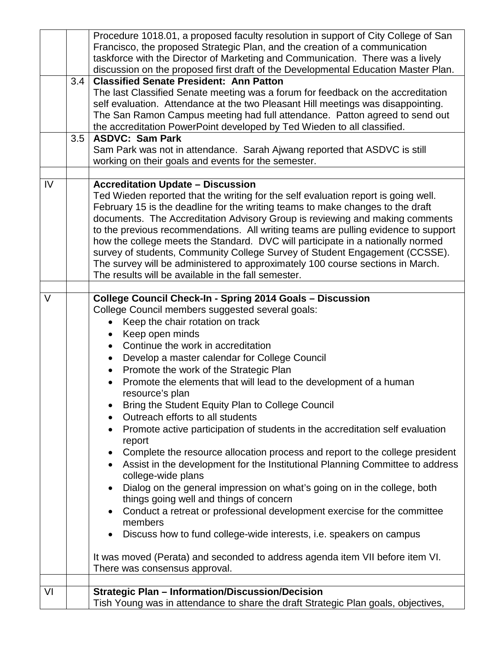|        |     | Procedure 1018.01, a proposed faculty resolution in support of City College of San                                                                                    |
|--------|-----|-----------------------------------------------------------------------------------------------------------------------------------------------------------------------|
|        |     | Francisco, the proposed Strategic Plan, and the creation of a communication<br>taskforce with the Director of Marketing and Communication. There was a lively         |
|        |     | discussion on the proposed first draft of the Developmental Education Master Plan.                                                                                    |
|        | 3.4 | <b>Classified Senate President: Ann Patton</b>                                                                                                                        |
|        |     | The last Classified Senate meeting was a forum for feedback on the accreditation                                                                                      |
|        |     | self evaluation. Attendance at the two Pleasant Hill meetings was disappointing.                                                                                      |
|        |     | The San Ramon Campus meeting had full attendance. Patton agreed to send out                                                                                           |
|        | 3.5 | the accreditation PowerPoint developed by Ted Wieden to all classified.<br><b>ASDVC: Sam Park</b>                                                                     |
|        |     | Sam Park was not in attendance. Sarah Ajwang reported that ASDVC is still                                                                                             |
|        |     | working on their goals and events for the semester.                                                                                                                   |
|        |     |                                                                                                                                                                       |
| IV     |     | <b>Accreditation Update - Discussion</b>                                                                                                                              |
|        |     | Ted Wieden reported that the writing for the self evaluation report is going well.                                                                                    |
|        |     | February 15 is the deadline for the writing teams to make changes to the draft                                                                                        |
|        |     | documents. The Accreditation Advisory Group is reviewing and making comments                                                                                          |
|        |     | to the previous recommendations. All writing teams are pulling evidence to support<br>how the college meets the Standard. DVC will participate in a nationally normed |
|        |     | survey of students, Community College Survey of Student Engagement (CCSSE).                                                                                           |
|        |     | The survey will be administered to approximately 100 course sections in March.                                                                                        |
|        |     | The results will be available in the fall semester.                                                                                                                   |
|        |     |                                                                                                                                                                       |
| $\vee$ |     | College Council Check-In - Spring 2014 Goals - Discussion                                                                                                             |
|        |     | College Council members suggested several goals:                                                                                                                      |
|        |     | Keep the chair rotation on track<br>$\bullet$                                                                                                                         |
|        |     | Keep open minds<br>$\bullet$                                                                                                                                          |
|        |     | Continue the work in accreditation<br>$\bullet$                                                                                                                       |
|        |     | Develop a master calendar for College Council<br>$\bullet$<br>Promote the work of the Strategic Plan<br>$\bullet$                                                     |
|        |     | Promote the elements that will lead to the development of a human                                                                                                     |
|        |     | resource's plan                                                                                                                                                       |
|        |     | Bring the Student Equity Plan to College Council<br>٠                                                                                                                 |
|        |     | Outreach efforts to all students<br>$\bullet$                                                                                                                         |
|        |     | Promote active participation of students in the accreditation self evaluation<br>$\bullet$                                                                            |
|        |     | report                                                                                                                                                                |
|        |     | Complete the resource allocation process and report to the college president<br>$\bullet$                                                                             |
|        |     | Assist in the development for the Institutional Planning Committee to address<br>$\bullet$                                                                            |
|        |     | college-wide plans                                                                                                                                                    |
|        |     | Dialog on the general impression on what's going on in the college, both<br>$\bullet$<br>things going well and things of concern                                      |
|        |     | Conduct a retreat or professional development exercise for the committee<br>$\bullet$                                                                                 |
|        |     | members                                                                                                                                                               |
|        |     | Discuss how to fund college-wide interests, i.e. speakers on campus<br>$\bullet$                                                                                      |
|        |     | It was moved (Perata) and seconded to address agenda item VII before item VI.                                                                                         |
|        |     | There was consensus approval.                                                                                                                                         |
|        |     |                                                                                                                                                                       |
| VI     |     | <b>Strategic Plan - Information/Discussion/Decision</b><br>Tish Young was in attendance to share the draft Strategic Plan goals, objectives,                          |
|        |     |                                                                                                                                                                       |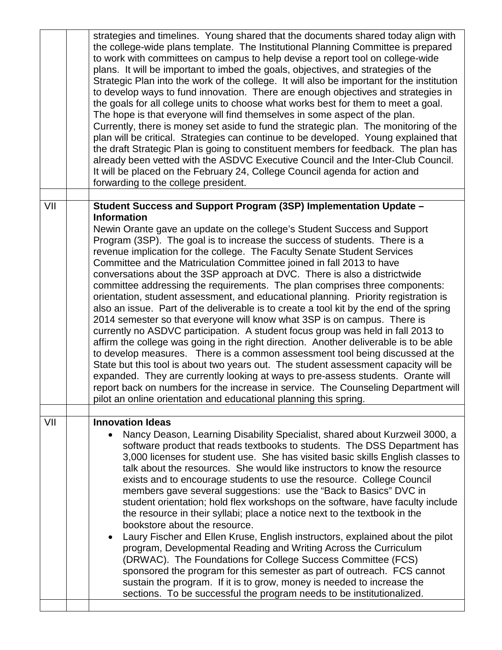|     | strategies and timelines. Young shared that the documents shared today align with<br>the college-wide plans template. The Institutional Planning Committee is prepared<br>to work with committees on campus to help devise a report tool on college-wide<br>plans. It will be important to imbed the goals, objectives, and strategies of the<br>Strategic Plan into the work of the college. It will also be important for the institution<br>to develop ways to fund innovation. There are enough objectives and strategies in<br>the goals for all college units to choose what works best for them to meet a goal.<br>The hope is that everyone will find themselves in some aspect of the plan.<br>Currently, there is money set aside to fund the strategic plan. The monitoring of the<br>plan will be critical. Strategies can continue to be developed. Young explained that<br>the draft Strategic Plan is going to constituent members for feedback. The plan has<br>already been vetted with the ASDVC Executive Council and the Inter-Club Council.<br>It will be placed on the February 24, College Council agenda for action and                                                                                                                                                                                                                                                                                       |
|-----|---------------------------------------------------------------------------------------------------------------------------------------------------------------------------------------------------------------------------------------------------------------------------------------------------------------------------------------------------------------------------------------------------------------------------------------------------------------------------------------------------------------------------------------------------------------------------------------------------------------------------------------------------------------------------------------------------------------------------------------------------------------------------------------------------------------------------------------------------------------------------------------------------------------------------------------------------------------------------------------------------------------------------------------------------------------------------------------------------------------------------------------------------------------------------------------------------------------------------------------------------------------------------------------------------------------------------------------------------------------------------------------------------------------------------------------|
|     | forwarding to the college president.                                                                                                                                                                                                                                                                                                                                                                                                                                                                                                                                                                                                                                                                                                                                                                                                                                                                                                                                                                                                                                                                                                                                                                                                                                                                                                                                                                                                  |
| VII | Student Success and Support Program (3SP) Implementation Update -<br><b>Information</b><br>Newin Orante gave an update on the college's Student Success and Support<br>Program (3SP). The goal is to increase the success of students. There is a<br>revenue implication for the college. The Faculty Senate Student Services<br>Committee and the Matriculation Committee joined in fall 2013 to have<br>conversations about the 3SP approach at DVC. There is also a districtwide<br>committee addressing the requirements. The plan comprises three components:<br>orientation, student assessment, and educational planning. Priority registration is<br>also an issue. Part of the deliverable is to create a tool kit by the end of the spring<br>2014 semester so that everyone will know what 3SP is on campus. There is<br>currently no ASDVC participation. A student focus group was held in fall 2013 to<br>affirm the college was going in the right direction. Another deliverable is to be able<br>to develop measures. There is a common assessment tool being discussed at the<br>State but this tool is about two years out. The student assessment capacity will be<br>expanded. They are currently looking at ways to pre-assess students. Orante will<br>report back on numbers for the increase in service. The Counseling Department will<br>pilot an online orientation and educational planning this spring. |
| VII | <b>Innovation Ideas</b><br>Nancy Deason, Learning Disability Specialist, shared about Kurzweil 3000, a<br>software product that reads textbooks to students. The DSS Department has<br>3,000 licenses for student use. She has visited basic skills English classes to<br>talk about the resources. She would like instructors to know the resource<br>exists and to encourage students to use the resource. College Council<br>members gave several suggestions: use the "Back to Basics" DVC in<br>student orientation; hold flex workshops on the software, have faculty include<br>the resource in their syllabi; place a notice next to the textbook in the<br>bookstore about the resource.<br>Laury Fischer and Ellen Kruse, English instructors, explained about the pilot<br>program, Developmental Reading and Writing Across the Curriculum<br>(DRWAC). The Foundations for College Success Committee (FCS)<br>sponsored the program for this semester as part of outreach. FCS cannot<br>sustain the program. If it is to grow, money is needed to increase the<br>sections. To be successful the program needs to be institutionalized.                                                                                                                                                                                                                                                                                  |
|     |                                                                                                                                                                                                                                                                                                                                                                                                                                                                                                                                                                                                                                                                                                                                                                                                                                                                                                                                                                                                                                                                                                                                                                                                                                                                                                                                                                                                                                       |